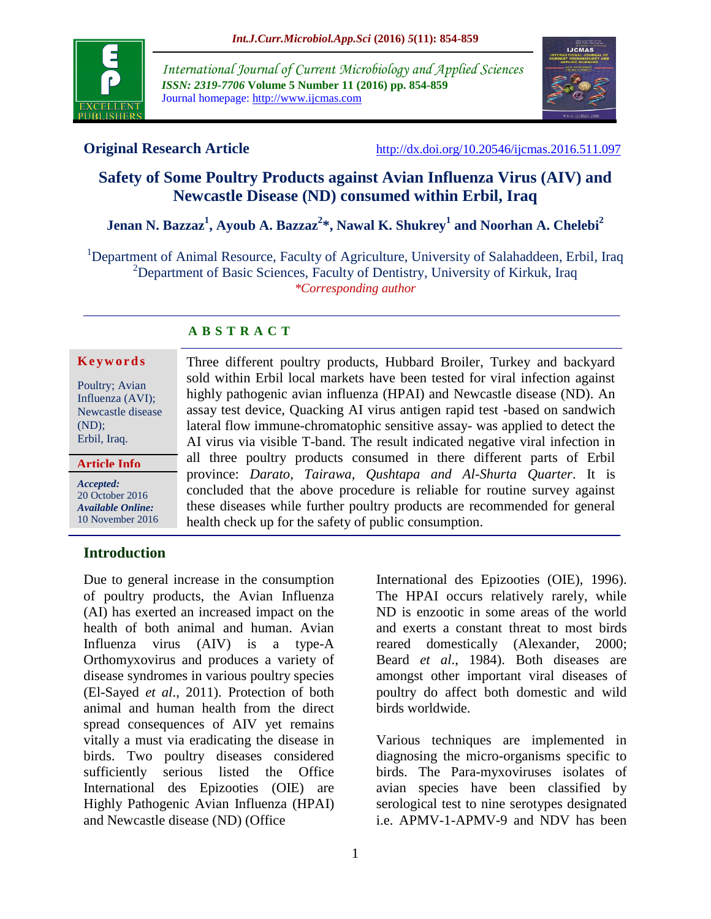

*International Journal of Current Microbiology and Applied Sciences ISSN: 2319-7706* **Volume 5 Number 11 (2016) pp. 854-859** Journal homepage: http://www.ijcmas.com



**Original Research Article** <http://dx.doi.org/10.20546/ijcmas.2016.511.097>

# **Safety of Some Poultry Products against Avian Influenza Virus (AIV) and Newcastle Disease (ND) consumed within Erbil, Iraq**

**Jenan N. Bazzaz<sup>1</sup> , Ayoub A. Bazzaz<sup>2</sup> \*, Nawal K. Shukrey<sup>1</sup> and Noorhan A. Chelebi<sup>2</sup>**

<sup>1</sup>Department of Animal Resource, Faculty of Agriculture, University of Salahaddeen, Erbil, Iraq <sup>2</sup>Department of Basic Sciences, Faculty of Dentistry, University of Kirkuk, Iraq *\*Corresponding author*

### **A B S T R A C T**

#### **K e y w o r d s**

Poultry; Avian Influenza (AVI); Newcastle disease (ND); Erbil, Iraq.

*Accepted:*  **Article Info**

20 October 2016 *Available Online:* 10 November 2016

Three different poultry products, Hubbard Broiler, Turkey and backyard sold within Erbil local markets have been tested for viral infection against highly pathogenic avian influenza (HPAI) and Newcastle disease (ND). An assay test device, Quacking AI virus antigen rapid test -based on sandwich lateral flow immune-chromatophic sensitive assay- was applied to detect the AI virus via visible T-band. The result indicated negative viral infection in all three poultry products consumed in there different parts of Erbil province: *Darato, Tairawa, Qushtapa and Al-Shurta Quarter*. It is concluded that the above procedure is reliable for routine survey against these diseases while further poultry products are recommended for general health check up for the safety of public consumption.

### **Introduction**

Due to general increase in the consumption of poultry products, the Avian Influenza (AI) has exerted an increased impact on the health of both animal and human. Avian Influenza virus (AIV) is a type-A Orthomyxovirus and produces a variety of disease syndromes in various poultry species (El-Sayed *et al*., 2011). Protection of both animal and human health from the direct spread consequences of AIV yet remains vitally a must via eradicating the disease in birds. Two poultry diseases considered sufficiently serious listed the Office International des Epizooties (OIE) are Highly Pathogenic Avian Influenza (HPAI) and Newcastle disease (ND) (Office

International des Epizooties (OIE), 1996). The HPAI occurs relatively rarely, while ND is enzootic in some areas of the world and exerts a constant threat to most birds reared domestically (Alexander, 2000; Beard *et al*., 1984). Both diseases are amongst other important viral diseases of poultry do affect both domestic and wild birds worldwide.

Various techniques are implemented in diagnosing the micro-organisms specific to birds. The Para-myxoviruses isolates of avian species have been classified by serological test to nine serotypes designated i.e. APMV-1-APMV-9 and NDV has been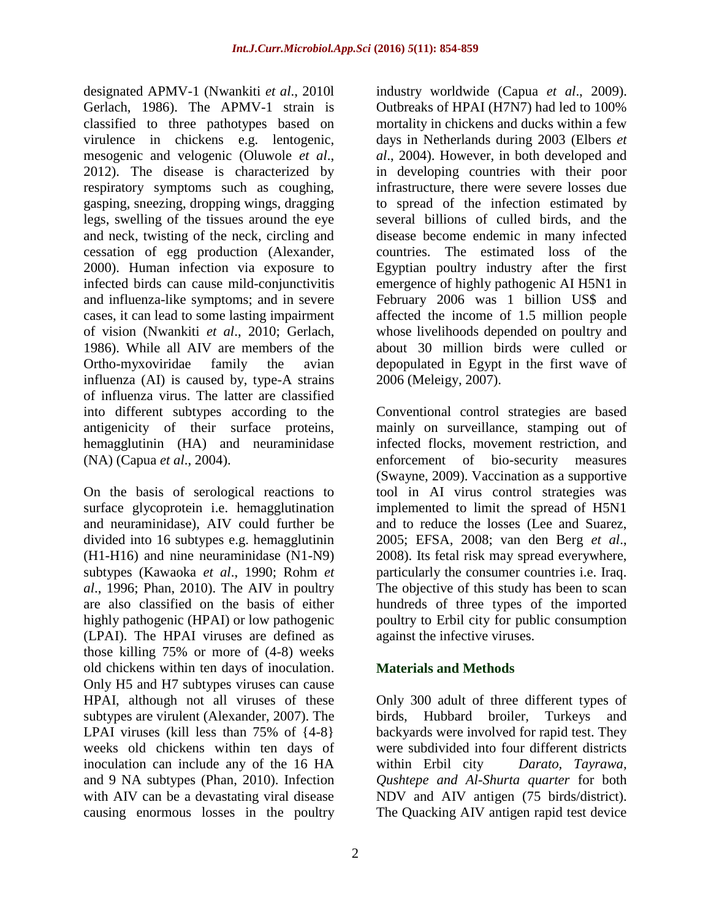designated APMV-1 (Nwankiti *et al*., 2010l Gerlach, 1986). The APMV-1 strain is classified to three pathotypes based on virulence in chickens e.g. lentogenic, mesogenic and velogenic (Oluwole *et al*., 2012). The disease is characterized by respiratory symptoms such as coughing, gasping, sneezing, dropping wings, dragging legs, swelling of the tissues around the eye and neck, twisting of the neck, circling and cessation of egg production (Alexander, 2000). Human infection via exposure to infected birds can cause mild-conjunctivitis and influenza-like symptoms; and in severe cases, it can lead to some lasting impairment of vision (Nwankiti *et al*., 2010; Gerlach, 1986). While all AIV are members of the Ortho-myxoviridae family the avian influenza (AI) is caused by, type-A strains of influenza virus. The latter are classified into different subtypes according to the antigenicity of their surface proteins, hemagglutinin (HA) and neuraminidase (NA) (Capua *et al*., 2004).

On the basis of serological reactions to surface glycoprotein i.e. hemagglutination and neuraminidase), AIV could further be divided into 16 subtypes e.g. hemagglutinin (H1-H16) and nine neuraminidase (N1-N9) subtypes (Kawaoka *et al*., 1990; Rohm *et al*., 1996; Phan, 2010). The AIV in poultry are also classified on the basis of either highly pathogenic (HPAI) or low pathogenic (LPAI). The HPAI viruses are defined as those killing 75% or more of (4-8) weeks old chickens within ten days of inoculation. Only H5 and H7 subtypes viruses can cause HPAI, although not all viruses of these subtypes are virulent (Alexander, 2007). The LPAI viruses (kill less than 75% of  $\{4-8\}$ ) weeks old chickens within ten days of inoculation can include any of the 16 HA and 9 NA subtypes (Phan, 2010). Infection with AIV can be a devastating viral disease causing enormous losses in the poultry

industry worldwide (Capua *et al*., 2009). Outbreaks of HPAI (H7N7) had led to 100% mortality in chickens and ducks within a few days in Netherlands during 2003 (Elbers *et al*., 2004). However, in both developed and in developing countries with their poor infrastructure, there were severe losses due to spread of the infection estimated by several billions of culled birds, and the disease become endemic in many infected countries. The estimated loss of the Egyptian poultry industry after the first emergence of highly pathogenic AI H5N1 in February 2006 was 1 billion US\$ and affected the income of 1.5 million people whose livelihoods depended on poultry and about 30 million birds were culled or depopulated in Egypt in the first wave of 2006 (Meleigy, 2007).

Conventional control strategies are based mainly on surveillance, stamping out of infected flocks, movement restriction, and enforcement of bio-security measures (Swayne, 2009). Vaccination as a supportive tool in AI virus control strategies was implemented to limit the spread of H5N1 and to reduce the losses (Lee and Suarez, 2005; EFSA, 2008; van den Berg *et al*., 2008). Its fetal risk may spread everywhere, particularly the consumer countries i.e. Iraq. The objective of this study has been to scan hundreds of three types of the imported poultry to Erbil city for public consumption against the infective viruses.

## **Materials and Methods**

Only 300 adult of three different types of birds, Hubbard broiler, Turkeys and backyards were involved for rapid test. They were subdivided into four different districts within Erbil city *Darato, Tayrawa, Qushtepe and Al-Shurta quarter* for both NDV and AIV antigen (75 birds/district). The Quacking AIV antigen rapid test device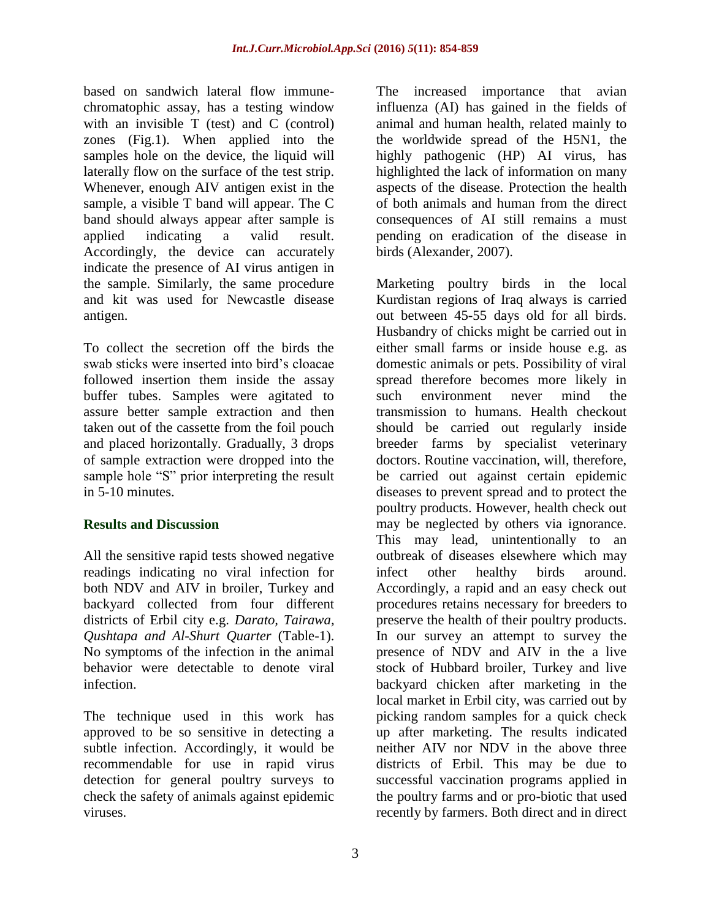based on sandwich lateral flow immunechromatophic assay, has a testing window with an invisible T (test) and C (control) zones (Fig.1). When applied into the samples hole on the device, the liquid will laterally flow on the surface of the test strip. Whenever, enough AIV antigen exist in the sample, a visible T band will appear. The C band should always appear after sample is applied indicating a valid result. Accordingly, the device can accurately indicate the presence of AI virus antigen in the sample. Similarly, the same procedure and kit was used for Newcastle disease antigen.

To collect the secretion off the birds the swab sticks were inserted into bird"s cloacae followed insertion them inside the assay buffer tubes. Samples were agitated to assure better sample extraction and then taken out of the cassette from the foil pouch and placed horizontally. Gradually, 3 drops of sample extraction were dropped into the sample hole "S" prior interpreting the result in 5-10 minutes.

### **Results and Discussion**

All the sensitive rapid tests showed negative readings indicating no viral infection for both NDV and AIV in broiler, Turkey and backyard collected from four different districts of Erbil city e.g. *Darato, Tairawa, Qushtapa and Al-Shurt Quarter* (Table-1). No symptoms of the infection in the animal behavior were detectable to denote viral infection.

The technique used in this work has approved to be so sensitive in detecting a subtle infection. Accordingly, it would be recommendable for use in rapid virus detection for general poultry surveys to check the safety of animals against epidemic viruses.

The increased importance that avian influenza (AI) has gained in the fields of animal and human health, related mainly to the worldwide spread of the H5N1, the highly pathogenic (HP) AI virus, has highlighted the lack of information on many aspects of the disease. Protection the health of both animals and human from the direct consequences of AI still remains a must pending on eradication of the disease in birds (Alexander, 2007).

Marketing poultry birds in the local Kurdistan regions of Iraq always is carried out between 45-55 days old for all birds. Husbandry of chicks might be carried out in either small farms or inside house e.g. as domestic animals or pets. Possibility of viral spread therefore becomes more likely in such environment never mind the transmission to humans. Health checkout should be carried out regularly inside breeder farms by specialist veterinary doctors. Routine vaccination, will, therefore, be carried out against certain epidemic diseases to prevent spread and to protect the poultry products. However, health check out may be neglected by others via ignorance. This may lead, unintentionally to an outbreak of diseases elsewhere which may infect other healthy birds around. Accordingly, a rapid and an easy check out procedures retains necessary for breeders to preserve the health of their poultry products. In our survey an attempt to survey the presence of NDV and AIV in the a live stock of Hubbard broiler, Turkey and live backyard chicken after marketing in the local market in Erbil city, was carried out by picking random samples for a quick check up after marketing. The results indicated neither AIV nor NDV in the above three districts of Erbil. This may be due to successful vaccination programs applied in the poultry farms and or pro-biotic that used recently by farmers. Both direct and in direct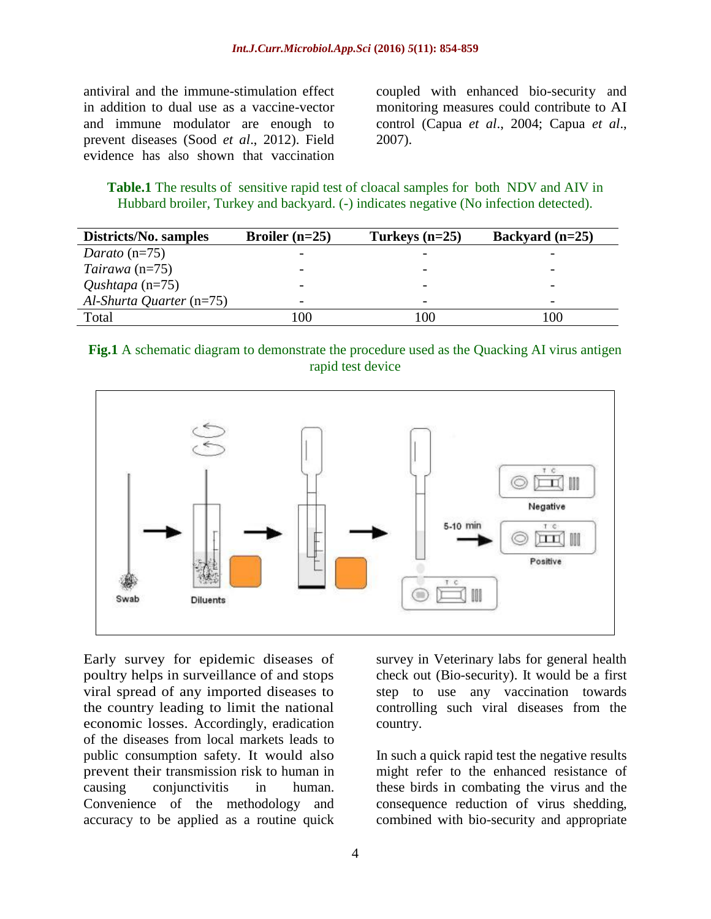antiviral and the immune-stimulation effect in addition to dual use as a vaccine-vector and immune modulator are enough to prevent diseases (Sood *et al*., 2012). Field evidence has also shown that vaccination coupled with enhanced bio-security and monitoring measures could contribute to AI control (Capua *et al*., 2004; Capua *et al*., 2007).

**Table.1** The results of sensitive rapid test of cloacal samples for both NDV and AIV in Hubbard broiler, Turkey and backyard. (-) indicates negative (No infection detected).

| Districts/No. samples      | Broiler $(n=25)$         | Turkeys $(n=25)$ | Backyard $(n=25)$        |
|----------------------------|--------------------------|------------------|--------------------------|
| Darato $(n=75)$            |                          |                  |                          |
| Tairawa $(n=75)$           |                          |                  |                          |
| Qushtapa $(n=75)$          |                          |                  | $\overline{\phantom{0}}$ |
| $Al-Shurta$ Quarter (n=75) | $\overline{\phantom{0}}$ |                  | $\overline{\phantom{a}}$ |
| Total                      | 100                      | 100              | 100                      |

**Fig.1** A schematic diagram to demonstrate the procedure used as the Quacking AI virus antigen rapid test device



Early survey for epidemic diseases of poultry helps in surveillance of and stops viral spread of any imported diseases to the country leading to limit the national economic losses. Accordingly, eradication of the diseases from local markets leads to public consumption safety. It would also prevent their transmission risk to human in causing conjunctivitis in human. Convenience of the methodology and accuracy to be applied as a routine quick

survey in Veterinary labs for general health check out (Bio-security). It would be a first step to use any vaccination towards controlling such viral diseases from the country.

In such a quick rapid test the negative results might refer to the enhanced resistance of these birds in combating the virus and the consequence reduction of virus shedding, combined with bio-security and appropriate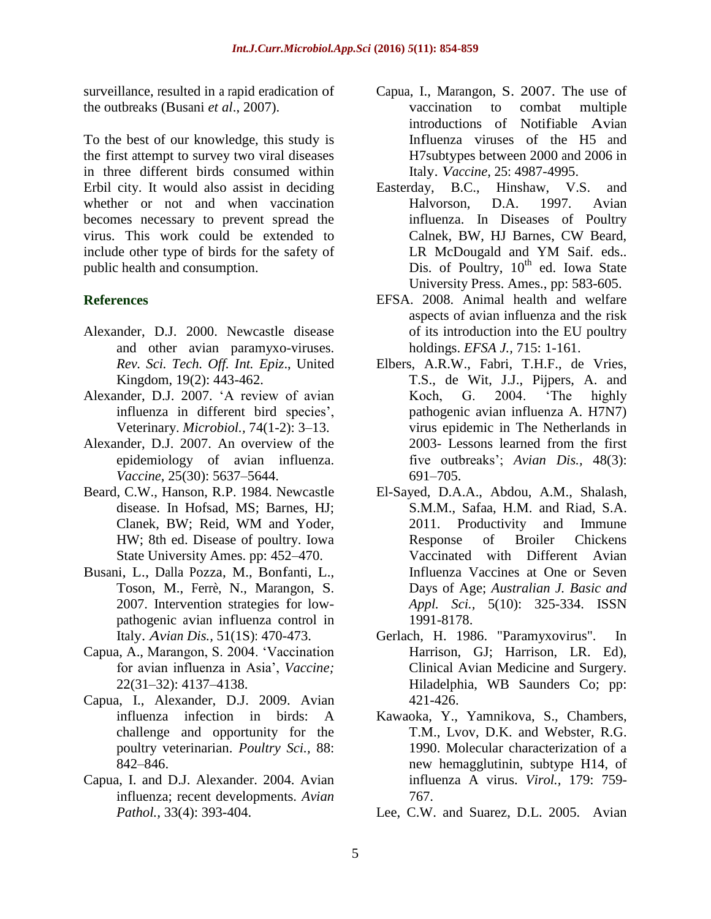surveillance, resulted in a rapid eradication of the outbreaks (Busani *et al*., 2007).

To the best of our knowledge, this study is the first attempt to survey two viral diseases in three different birds consumed within Erbil city. It would also assist in deciding whether or not and when vaccination becomes necessary to prevent spread the virus. This work could be extended to include other type of birds for the safety of public health and consumption.

### **References**

- Alexander, D.J. 2000. Newcastle disease and other avian paramyxo-viruses. *Rev. Sci. Tech. Off. Int. Epiz*., United Kingdom, 19(2): 443-462.
- Alexander, D.J. 2007. "A review of avian influenza in different bird species', Veterinary. *Microbiol.,* 74(1-2): 3–13.
- Alexander, D.J. 2007. An overview of the epidemiology of avian influenza. *Vaccine*, 25(30): 5637–5644.
- Beard, C.W., Hanson, R.P. 1984. Newcastle disease. In Hofsad, MS; Barnes, HJ; Clanek, BW; Reid, WM and Yoder, HW; 8th ed. Disease of poultry. Iowa State University Ames. pp: 452–470.
- Busani, L., Dalla Pozza, M., Bonfanti, L., Toson, M., Ferrè, N., Marangon, S. 2007. Intervention strategies for lowpathogenic avian influenza control in Italy. *Avian Dis.,* 51(1S): 470-473.
- Capua, A., Marangon, S. 2004. "Vaccination for avian influenza in Asia", *Vaccine;* 22(31–32): 4137–4138.
- Capua, I., Alexander, D.J. 2009. Avian influenza infection in birds: A challenge and opportunity for the poultry veterinarian. *Poultry Sci.,* 88: 842–846.
- Capua, I. and D.J. Alexander. 2004. Avian influenza; recent developments. *Avian Pathol.,* 33(4): 393-404.
- Capua, I., Marangon, S. 2007. The use of vaccination to combat multiple introductions of Notifiable Avian Influenza viruses of the H5 and H7subtypes between 2000 and 2006 in Italy. *Vaccine*, 25: 4987-4995.
- Easterday, B.C., Hinshaw, V.S. and Halvorson, D.A. 1997. Avian influenza. In Diseases of Poultry Calnek, BW, HJ Barnes, CW Beard, LR McDougald and YM Saif. eds.. Dis. of Poultry,  $10^{th}$  ed. Iowa State University Press. Ames., pp: 583-605.
- EFSA. 2008. Animal health and welfare aspects of avian influenza and the risk of its introduction into the EU poultry holdings. *EFSA J.,* 715: 1-161.
- Elbers, A.R.W., Fabri, T.H.F., de Vries, T.S., de Wit, J.J., Pijpers, A. and Koch, G. 2004. "The highly pathogenic avian influenza A. H7N7) virus epidemic in The Netherlands in 2003- Lessons learned from the first five outbreaks'; *Avian Dis.*, 48(3): 691–705.
- El-Sayed, D.A.A., Abdou, A.M., Shalash, S.M.M., Safaa, H.M. and Riad, S.A. 2011. Productivity and Immune Response of Broiler Chickens Vaccinated with Different Avian Influenza Vaccines at One or Seven Days of Age; *Australian J. Basic and Appl. Sci.,* 5(10): 325-334. ISSN 1991-8178.
- Gerlach, H. 1986. "Paramyxovirus". In Harrison, GJ; Harrison, LR. Ed), Clinical Avian Medicine and Surgery. Hiladelphia, WB Saunders Co; pp: 421-426.
- Kawaoka, Y., Yamnikova, S., Chambers, T.M., Lvov, D.K. and Webster, R.G. 1990. Molecular characterization of a new hemagglutinin, subtype H14, of influenza A virus. *Virol.,* 179: 759- 767.
- Lee, C.W. and Suarez, D.L. 2005. Avian